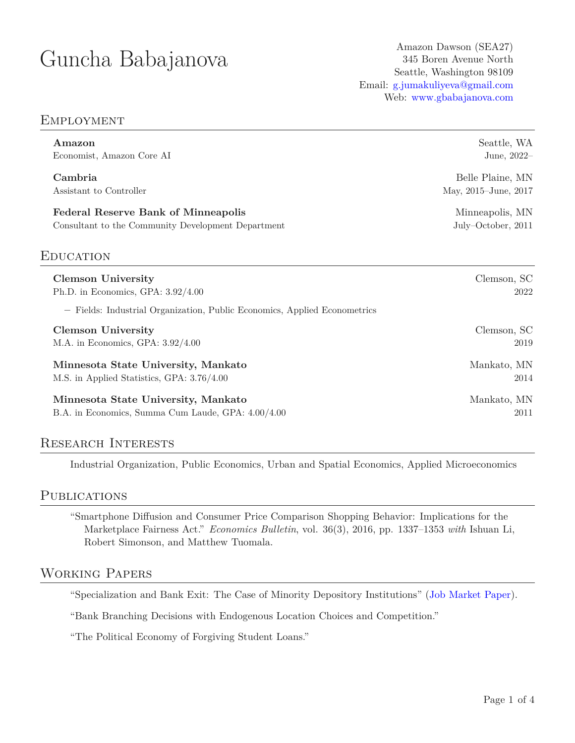# Guncha Babajanova Amazon Dawson (SEA27)

345 Boren Avenue North Seattle, Washington 98109 Email: [g.jumakuliyeva@gmail.com](mailto:g.jumakuliyeva@gmail.com) Web: [www.gbabajanova.com](https://www.gbabajanova.com/)

# Employment

| Amazon                                                                    | Seattle, WA          |
|---------------------------------------------------------------------------|----------------------|
| Economist, Amazon Core AI                                                 | June, 2022-          |
| Cambria                                                                   | Belle Plaine, MN     |
| Assistant to Controller                                                   | May, 2015–June, 2017 |
| <b>Federal Reserve Bank of Minneapolis</b>                                | Minneapolis, MN      |
| Consultant to the Community Development Department                        | July-October, 2011   |
| <b>EDUCATION</b>                                                          |                      |
| <b>Clemson University</b>                                                 | Clemson, SC          |
| Ph.D. in Economics, GPA: $3.92/4.00$                                      | 2022                 |
| - Fields: Industrial Organization, Public Economics, Applied Econometrics |                      |
| <b>Clemson University</b>                                                 | Clemson, SC          |
| M.A. in Economics, GPA: $3.92/4.00$                                       | 2019                 |
| Minnesota State University, Mankato                                       | Mankato, MN          |
| M.S. in Applied Statistics, GPA: 3.76/4.00                                | 2014                 |
| Minnesota State University, Mankato                                       | Mankato, MN          |
| B.A. in Economics, Summa Cum Laude, GPA: 4.00/4.00                        | 2011                 |

# Research Interests

Industrial Organization, Public Economics, Urban and Spatial Economics, Applied Microeconomics

## **PUBLICATIONS**

"Smartphone Diffusion and Consumer Price Comparison Shopping Behavior: Implications for the Marketplace Fairness Act." *Economics Bulletin*, vol. 36(3), 2016, pp. 1337–1353 *with* Ishuan Li, Robert Simonson, and Matthew Tuomala.

# Working Papers

"Specialization and Bank Exit: The Case of Minority Depository Institutions" [\(Job Market Paper](https://drive.google.com/file/d/1GZXMO2WN9EDfqKvdZGB-jn79tvrHxj2w/view?usp=sharing)).

"Bank Branching Decisions with Endogenous Location Choices and Competition."

"The Political Economy of Forgiving Student Loans."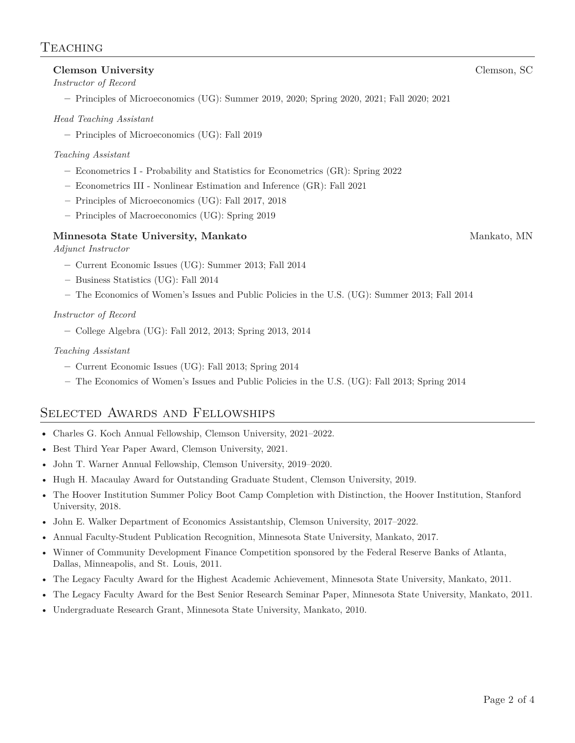### **Clemson University** Clemson, SC

#### *Instructor of Record*

**–** Principles of Microeconomics (UG): Summer 2019, 2020; Spring 2020, 2021; Fall 2020; 2021

#### *Head Teaching Assistant*

**–** Principles of Microeconomics (UG): Fall 2019

#### *Teaching Assistant*

- **–** Econometrics I Probability and Statistics for Econometrics (GR): Spring 2022
- **–** Econometrics III Nonlinear Estimation and Inference (GR): Fall 2021
- **–** Principles of Microeconomics (UG): Fall 2017, 2018
- **–** Principles of Macroeconomics (UG): Spring 2019

#### **Minnesota State University, Mankato** Mankato, MN

#### *Adjunct Instructor*

- **–** Current Economic Issues (UG): Summer 2013; Fall 2014
- **–** Business Statistics (UG): Fall 2014
- **–** The Economics of Women's Issues and Public Policies in the U.S. (UG): Summer 2013; Fall 2014

#### *Instructor of Record*

**–** College Algebra (UG): Fall 2012, 2013; Spring 2013, 2014

#### *Teaching Assistant*

- **–** Current Economic Issues (UG): Fall 2013; Spring 2014
- **–** The Economics of Women's Issues and Public Policies in the U.S. (UG): Fall 2013; Spring 2014

# Selected Awards and Fellowships

- Charles G. Koch Annual Fellowship, Clemson University, 2021–2022.
- Best Third Year Paper Award, Clemson University, 2021.
- John T. Warner Annual Fellowship, Clemson University, 2019–2020.
- Hugh H. Macaulay Award for Outstanding Graduate Student, Clemson University, 2019.
- The Hoover Institution Summer Policy Boot Camp Completion with Distinction, the Hoover Institution, Stanford University, 2018.
- John E. Walker Department of Economics Assistantship, Clemson University, 2017–2022.
- Annual Faculty-Student Publication Recognition, Minnesota State University, Mankato, 2017.
- Winner of Community Development Finance Competition sponsored by the Federal Reserve Banks of Atlanta, Dallas, Minneapolis, and St. Louis, 2011.
- The Legacy Faculty Award for the Highest Academic Achievement, Minnesota State University, Mankato, 2011.
- The Legacy Faculty Award for the Best Senior Research Seminar Paper, Minnesota State University, Mankato, 2011.
- Undergraduate Research Grant, Minnesota State University, Mankato, 2010.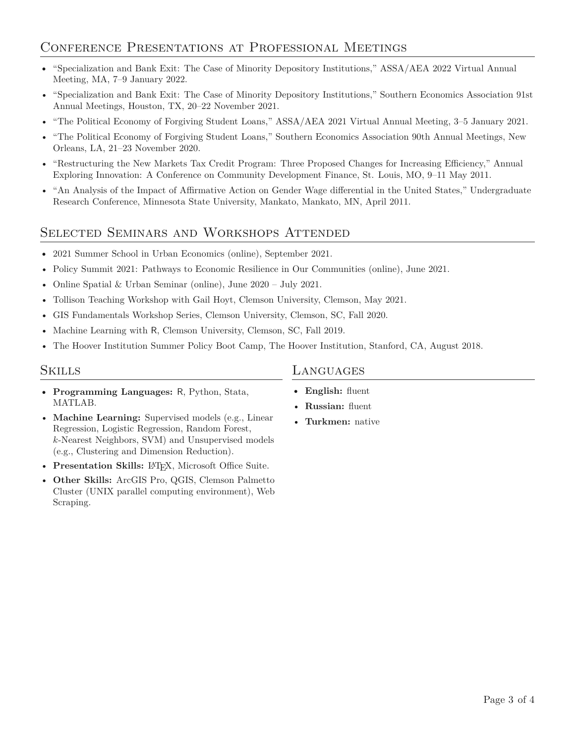# Conference Presentations at Professional Meetings

- "Specialization and Bank Exit: The Case of Minority Depository Institutions," ASSA/AEA 2022 Virtual Annual Meeting, MA, 7–9 January 2022.
- "Specialization and Bank Exit: The Case of Minority Depository Institutions," Southern Economics Association 91st Annual Meetings, Houston, TX, 20–22 November 2021.
- "The Political Economy of Forgiving Student Loans," ASSA/AEA 2021 Virtual Annual Meeting, 3–5 January 2021.
- "The Political Economy of Forgiving Student Loans," Southern Economics Association 90th Annual Meetings, New Orleans, LA, 21–23 November 2020.
- "Restructuring the New Markets Tax Credit Program: Three Proposed Changes for Increasing Efficiency," Annual Exploring Innovation: A Conference on Community Development Finance, St. Louis, MO, 9–11 May 2011.
- "An Analysis of the Impact of Affirmative Action on Gender Wage differential in the United States," Undergraduate Research Conference, Minnesota State University, Mankato, Mankato, MN, April 2011.

# Selected Seminars and Workshops Attended

- 2021 Summer School in Urban Economics (online), September 2021.
- Policy Summit 2021: Pathways to Economic Resilience in Our Communities (online), June 2021.
- Online Spatial & Urban Seminar (online), June 2020 July 2021.
- Tollison Teaching Workshop with Gail Hoyt, Clemson University, Clemson, May 2021.
- GIS Fundamentals Workshop Series, Clemson University, Clemson, SC, Fall 2020.
- Machine Learning with R, Clemson University, Clemson, SC, Fall 2019.
- The Hoover Institution Summer Policy Boot Camp, The Hoover Institution, Stanford, CA, August 2018.

### Skills

- **Programming Languages:** R, Python, Stata, MATLAB.
- **Machine Learning:** Supervised models (e.g., Linear Regression, Logistic Regression, Random Forest, *k*-Nearest Neighbors, SVM) and Unsupervised models (e.g., Clustering and Dimension Reduction).
- **Presentation Skills: LATEX, Microsoft Office Suite.**
- **Other Skills:** ArcGIS Pro, QGIS, Clemson Palmetto Cluster (UNIX parallel computing environment), Web Scraping.

# Languages

- **English:** fluent
- **Russian:** fluent
- **Turkmen:** native